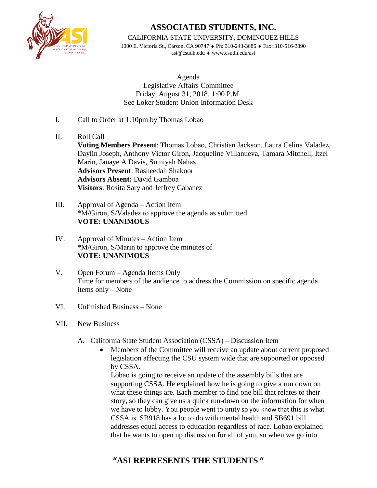

CALIFORNIA STATE UNIVERSITY, DOMINGUEZ HILLS

1000 E. Victoria St., Carson, CA 90747 ♦ Ph: 310-243-3686 ♦ Fax: 310-516-3890 asi@csudh.edu ♦ www.csudh.edu/asi

Agenda Legislative Affairs Committee Friday, August 31, 2018. 1:00 P.M. See Loker Student Union Information Desk

- I. Call to Order at 1:10pm by Thomas Lobao
- II. Roll Call **Voting Members Present**: Thomas Lobao, Christian Jackson, Laura Celina Valadez, Daylin Joseph, Anthony Victor Giron, Jacqueline Villanueva, Tamara Mitchell, Itzel Marin, Janaye A Davis, Sumiyah Nahas **Advisors Present**: Rasheedah Shakoor **Advisors Absent:** David Gamboa **Visitors**: Rosita Sary and Jeffrey Cabanez
- III. Approval of Agenda Action Item \*M/Giron, S/Valadez to approve the agenda as submitted **VOTE: UNANIMOUS**
- IV. Approval of Minutes Action Item \*M/Giron, S/Marin to approve the minutes of **VOTE: UNANIMOUS**
- V. Open Forum Agenda Items Only Time for members of the audience to address the Commission on specific agenda items only – None
- VI. Unfinished Business None
- VII. New Business
	- A. California State Student Association (CSSA) Discussion Item
		- Members of the Committee will receive an update about current proposed legislation affecting the CSU system wide that are supported or opposed by CSSA.

Lobao is going to receive an update of the assembly bills that are supporting CSSA. He explained how he is going to give a run down on what these things are. Each member to find one bill that relates to their story, so they can give us a quick run-down on the information for when we have to lobby. You people went to unity so you know that this is what CSSA is. SB918 has a lot to do with mental health and SB691 bill addresses equal access to education regardless of race. Lobao explained that he wants to open up discussion for all of you, so when we go into

### **"ASI REPRESENTS THE STUDENTS "**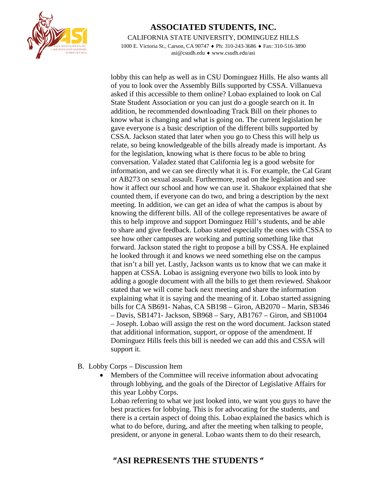

CALIFORNIA STATE UNIVERSITY, DOMINGUEZ HILLS

1000 E. Victoria St., Carson, CA 90747 ♦ Ph: 310-243-3686 ♦ Fax: 310-516-3890 asi@csudh.edu ♦ www.csudh.edu/asi

lobby this can help as well as in CSU Dominguez Hills. He also wants all of you to look over the Assembly Bills supported by CSSA. Villanueva asked if this accessible to them online? Lobao explained to look on Cal State Student Association or you can just do a google search on it. In addition, he recommended downloading Track Bill on their phones to know what is changing and what is going on. The current legislation he gave everyone is a basic description of the different bills supported by CSSA. Jackson stated that later when you go to Chess this will help us relate, so being knowledgeable of the bills already made is important. As for the legislation, knowing what is there focus to be able to bring conversation. Valadez stated that California leg is a good website for information, and we can see directly what it is. For example, the Cal Grant or AB273 on sexual assault. Furthermore, read on the legislation and see how it affect our school and how we can use it. Shakoor explained that she counted them, if everyone can do two, and bring a description by the next meeting. In addition, we can get an idea of what the campus is about by knowing the different bills. All of the college representatives be aware of this to help improve and support Dominguez Hill's students, and be able to share and give feedback. Lobao stated especially the ones with CSSA to see how other campuses are working and putting something like that forward. Jackson stated the right to propose a bill by CSSA. He explained he looked through it and knows we need something else on the campus that isn't a bill yet. Lastly, Jackson wants us to know that we can make it happen at CSSA. Lobao is assigning everyone two bills to look into by adding a google document with all the bills to get them reviewed. Shakoor stated that we will come back next meeting and share the information explaining what it is saying and the meaning of it. Lobao started assigning bills for CA SB691- Nahas, CA SB198 – Giron, AB2070 – Marin, SB346 – Davis, SB1471- Jackson, SB968 – Sary, AB1767 – Giron, and SB1004 – Joseph. Lobao will assign the rest on the word document. Jackson stated that additional information, support, or oppose of the amendment. If Dominguez Hills feels this bill is needed we can add this and CSSA will support it.

- B. Lobby Corps Discussion Item
	- Members of the Committee will receive information about advocating through lobbying, and the goals of the Director of Legislative Affairs for this year Lobby Corps.

Lobao referring to what we just looked into, we want you guys to have the best practices for lobbying. This is for advocating for the students, and there is a certain aspect of doing this. Lobao explained the basics which is what to do before, during, and after the meeting when talking to people, president, or anyone in general. Lobao wants them to do their research,

#### **"ASI REPRESENTS THE STUDENTS "**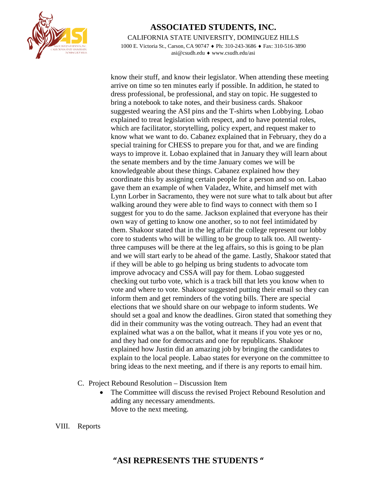

CALIFORNIA STATE UNIVERSITY, DOMINGUEZ HILLS

1000 E. Victoria St., Carson, CA 90747 ♦ Ph: 310-243-3686 ♦ Fax: 310-516-3890 asi@csudh.edu ♦ www.csudh.edu/asi

know their stuff, and know their legislator. When attending these meeting arrive on time so ten minutes early if possible. In addition, he stated to dress professional, be professional, and stay on topic. He suggested to bring a notebook to take notes, and their business cards. Shakoor suggested wearing the ASI pins and the T-shirts when Lobbying. Lobao explained to treat legislation with respect, and to have potential roles, which are facilitator, storytelling, policy expert, and request maker to know what we want to do. Cabanez explained that in February, they do a special training for CHESS to prepare you for that, and we are finding ways to improve it. Lobao explained that in January they will learn about the senate members and by the time January comes we will be knowledgeable about these things. Cabanez explained how they coordinate this by assigning certain people for a person and so on. Labao gave them an example of when Valadez, White, and himself met with Lynn Lorber in Sacramento, they were not sure what to talk about but after walking around they were able to find ways to connect with them so I suggest for you to do the same. Jackson explained that everyone has their own way of getting to know one another, so to not feel intimidated by them. Shakoor stated that in the leg affair the college represent our lobby core to students who will be willing to be group to talk too. All twentythree campuses will be there at the leg affairs, so this is going to be plan and we will start early to be ahead of the game. Lastly, Shakoor stated that if they will be able to go helping us bring students to advocate tom improve advocacy and CSSA will pay for them. Lobao suggested checking out turbo vote, which is a track bill that lets you know when to vote and where to vote. Shakoor suggested putting their email so they can inform them and get reminders of the voting bills. There are special elections that we should share on our webpage to inform students. We should set a goal and know the deadlines. Giron stated that something they did in their community was the voting outreach. They had an event that explained what was a on the ballot, what it means if you vote yes or no, and they had one for democrats and one for republicans. Shakoor explained how Justin did an amazing job by bringing the candidates to explain to the local people. Labao states for everyone on the committee to bring ideas to the next meeting, and if there is any reports to email him.

- C. Project Rebound Resolution Discussion Item
	- The Committee will discuss the revised Project Rebound Resolution and adding any necessary amendments. Move to the next meeting.
- VIII. Reports